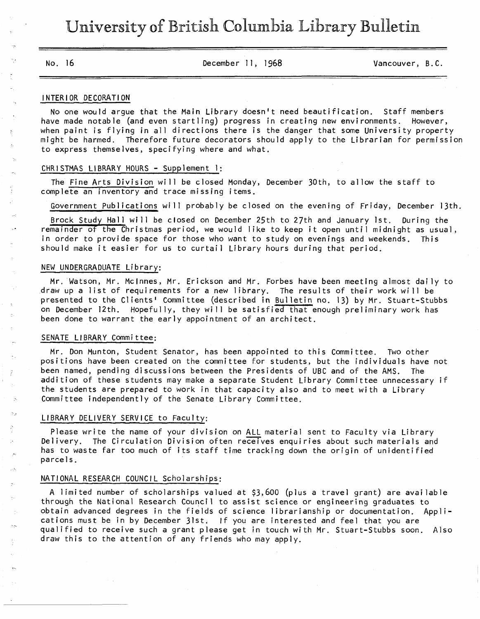No. 16 December 11, 1968 Vancouver, B.C.

#### INTERIOR DECORATION

No one would argue that the Main Library doesn't need beautification. Staff members have made notable (and even startling) progress in creating new environments. However, when paint is flying in all directions there is the danger that some University property might be harmed. Therefore future decorators should apply to the Librarian for permission to express themselves, specifying where and what.

### CHRISTMAS LIBRARY HOURS - Supplement 1;

The Fine Arts Division will be closed Monday, December 30th, to allow the staff to complete an inventory and trace missing items.

Government Publications will probably be closed on the evening of Friday, December 13th.

Brock Study Hall will be closed on December 25th to 27th and January 1st. During the remainder of the Christmas period, we would like to keep it open until midnight as usual, in order to provide space for those who want to study on evenings and weekends. This should make it easier for us to curtail Library hours during that period.

#### NEW UNDERGRADUATE Library:

Mr. Watson, Mr. Mclnnes, Mr. Erickson and Mr. Forbes have been meeting almost daily to draw up a list of requirements for a new library. The results of their work will be presented to the Clients' Committee (described in Builetin no. 13) by Mr. Stuart-Stubbs on December 12th. Hopefully, they will be satisfied that enough preliminary work has been done to warrant the early appointment of an architect.

## SENATE LIBRARY Committee:

Mr. Don Munton, Student Senator, has been appointed to this Committee. Two other positions have been created on the committee for students, but the individuals have not been named, pending discussions between the Presidents of UBC and of the AMS. The addition of these students may make a separate Student Library Committee unnecessary if the students are prepared to work in that capacity also and to meet with a Library Committee independently of the Senate Library Committee.

#### LIBRARY DELIVERY SERVICE to Faculty:

Please write the name of your division on ALL material sent to Faculty via Library Delivery. The Circulation Division often receives enquiries about such materials and has to waste far too much of its staff time tracking down the origin of unidentified parcels.

# NATIONAL RESEARCH COUNCIL Scholarships;

A limited number of scholarships valued at \$3,600 (plus a travel grant) are available through the National Research Council to assist science or engineering graduates to obtain advanced degrees in the fields of science 1ibrarianship or documentation. Applications must be in by December 31st. If you are interested and feel that you are qualified to receive such a grant please get in touch with Mr. Stuart-Stubbs soon. Also draw this to the attention of any friends who may apply.